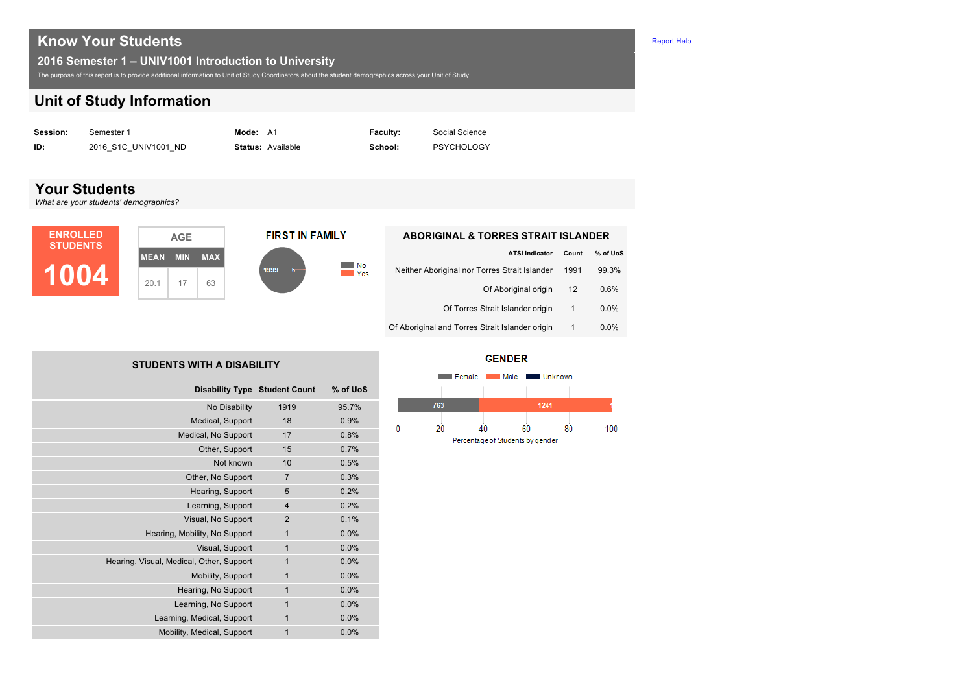# **Know Your Students** Report Help and Control of the Control of the Control of the Control of the Report Help and Report Help

**2016 Semester 1 – UNIV1001 Introduction to University**

The purpose of this report is to provide additional information to Unit of Study Coordinators about the student demographics across your Unit of Study.

# **Unit of Study Information**

| <b>Session:</b> | Semester 1           | <b>Mode:</b> A1 |                          | <b>Faculty:</b> | Social Science    |
|-----------------|----------------------|-----------------|--------------------------|-----------------|-------------------|
| ID:             | 2016 S1C UNIV1001 ND |                 | <b>Status: Available</b> | School:         | <b>PSYCHOLOGY</b> |

## **Your Students**

*What are your students' demographics?*



#### **ABORIGINAL & TORRES STRAIT ISLANDER**

| <b>ATSI Indicator</b>                           | Count | % of UoS |
|-------------------------------------------------|-------|----------|
| Neither Aboriginal nor Torres Strait Islander   | 1991  | 99.3%    |
| Of Aboriginal origin                            | 12    | 0.6%     |
| Of Torres Strait Islander origin                |       | $0.0\%$  |
| Of Aboriginal and Torres Strait Islander origin |       | $0.0\%$  |

| <b>STUDENTS WITH A DISABILITY</b>        |                |          |
|------------------------------------------|----------------|----------|
| <b>Disability Type Student Count</b>     |                | % of UoS |
| No Disability                            | 1919           | 95.7%    |
| Medical, Support                         | 18             | 0.9%     |
| Medical, No Support                      | 17             | 0.8%     |
| Other, Support                           | 15             | 0.7%     |
| Not known                                | 10             | 0.5%     |
| Other, No Support                        | 7              | 0.3%     |
| Hearing, Support                         | 5              | 0.2%     |
| Learning, Support                        | $\overline{4}$ | 0.2%     |
| Visual, No Support                       | $\overline{2}$ | 0.1%     |
| Hearing, Mobility, No Support            | $\mathbf{1}$   | 0.0%     |
| Visual, Support                          | $\mathbf 1$    | 0.0%     |
| Hearing, Visual, Medical, Other, Support | $\mathbf 1$    | 0.0%     |
| Mobility, Support                        | $\mathbf 1$    | 0.0%     |
| Hearing, No Support                      | $\mathbf{1}$   | 0.0%     |
| Learning, No Support                     | $\mathbf{1}$   | 0.0%     |
| Learning, Medical, Support               | $\mathbf{1}$   | 0.0%     |
| Mobility, Medical, Support               | $\mathbf 1$    | 0.0%     |
|                                          |                |          |

#### **GENDER**

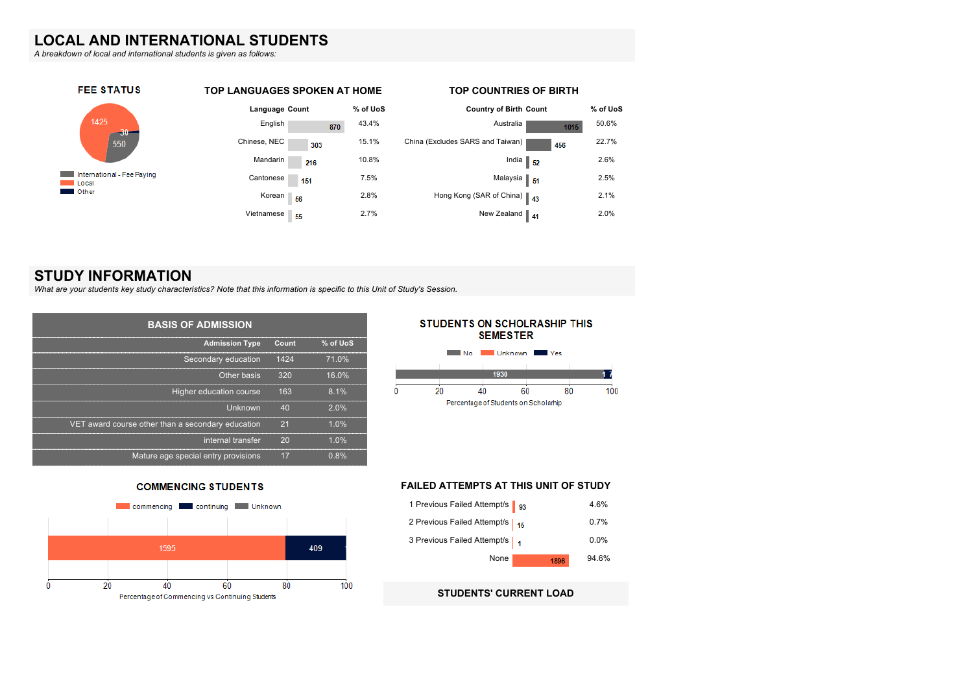### **LOCAL AND INTERNATIONAL STUDENTS**

*A breakdown of local and international students is given as follows:*



### **STUDY INFORMATION**

*What are your students key study characteristics? Note that this information is specific to this Unit of Study's Session.*

| <b>BASIS OF ADMISSION</b>                         |       |          |
|---------------------------------------------------|-------|----------|
| <b>Admission Type</b>                             | Count | % of UoS |
| Secondary education                               | 1424  | 71.0%    |
| Other basis                                       | 320   | 16.0%    |
| Higher education course                           | 163   | 8.1%     |
| Unknown                                           | 40    | 2.0%     |
| VET award course other than a secondary education | 21    | $1.0\%$  |
| internal transfer                                 | 20    | 1.0%     |
| Mature age special entry provisions               | 17    | 0.8%     |

#### **COMMENCING STUDENTS**



#### **STUDENTS ON SCHOLRASHIP THIS SEMESTER**



#### **FAILED ATTEMPTS AT THIS UNIT OF STUDY**



#### **STUDENTS' CURRENT LOAD**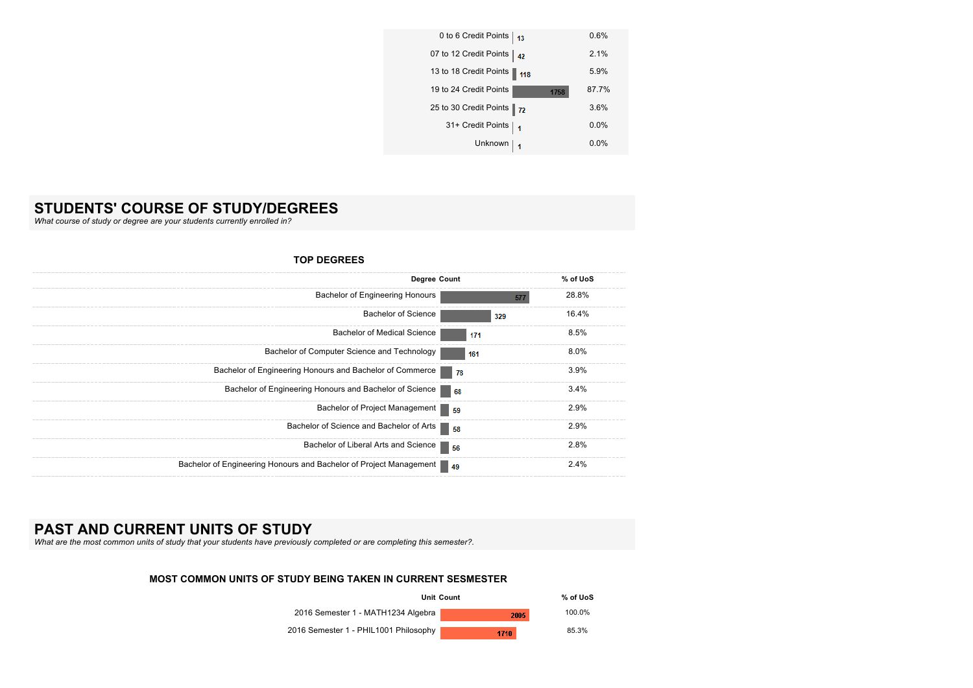| 0 to 6 Credit Points   13       | 0.6%    |
|---------------------------------|---------|
| 07 to 12 Credit Points   42     | 2.1%    |
| 13 to 18 Credit Points  <br>118 | 5.9%    |
| 19 to 24 Credit Points<br>1758  | 87.7%   |
| 25 to 30 Credit Points 72       | 3.6%    |
| 31+ Credit Points   1           | $0.0\%$ |
| Unknown                         | $0.0\%$ |

# **STUDENTS' COURSE OF STUDY/DEGREES**

*What course of study or degree are your students currently enrolled in?*

#### **TOP DEGREES**

| <b>Degree Count</b>                                                   |     | % of UoS |
|-----------------------------------------------------------------------|-----|----------|
| <b>Bachelor of Engineering Honours</b>                                | 577 | 28.8%    |
| <b>Bachelor of Science</b>                                            | 329 | 16.4%    |
| <b>Bachelor of Medical Science</b>                                    | 171 | $8.5\%$  |
| Bachelor of Computer Science and Technology                           | 161 | $8.0\%$  |
| Bachelor of Engineering Honours and Bachelor of Commerce              | 78  | $3.9\%$  |
| Bachelor of Engineering Honours and Bachelor of Science               | 68  | $3.4\%$  |
| Bachelor of Project Management 59                                     |     | 2.9%     |
| Bachelor of Science and Bachelor of Arts 58                           |     | 2.9%     |
| Bachelor of Liberal Arts and Science                                  | 56  | 2.8%     |
| Bachelor of Engineering Honours and Bachelor of Project Management 49 |     | 2.4%     |

# **PAST AND CURRENT UNITS OF STUDY**

*What are the most common units of study that your students have previously completed or are completing this semester?.* 

#### **MOST COMMON UNITS OF STUDY BEING TAKEN IN CURRENT SESMESTER**